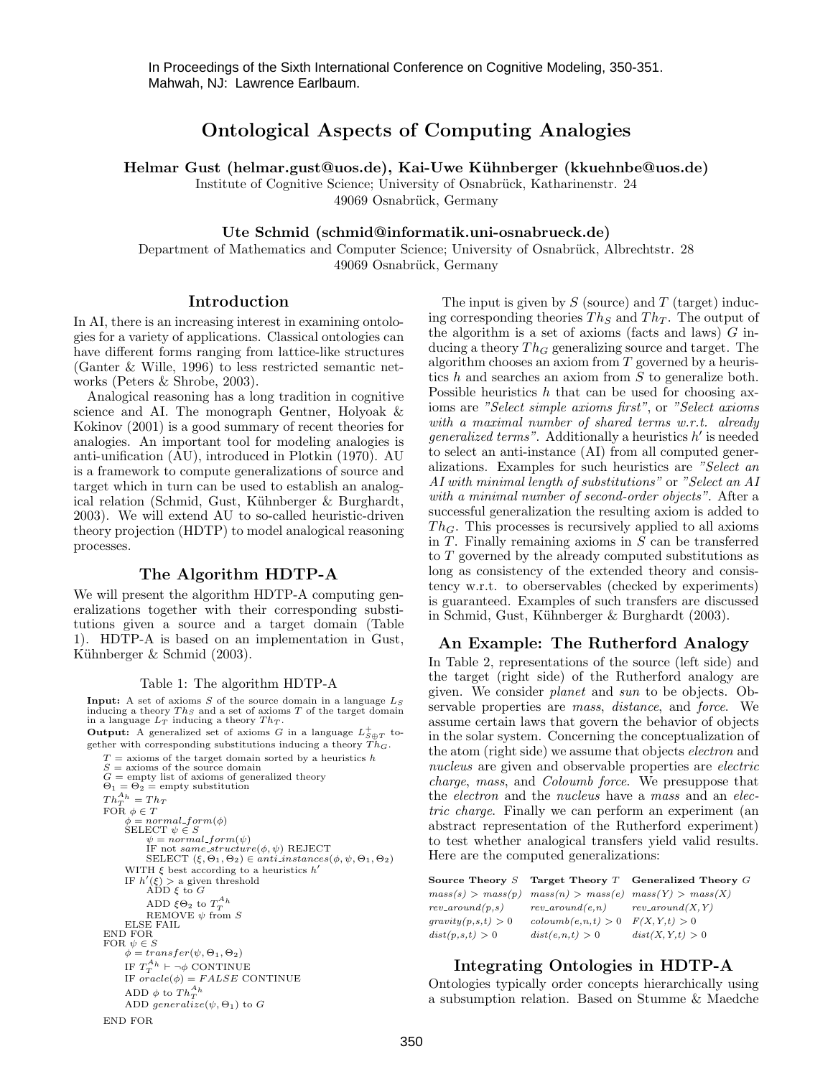In Proceedings of the Sixth International Conference on Cognitive Modeling, 350-351. Mahwah, NJ: Lawrence Earlbaum.

# Ontological Aspects of Computing Analogies

Helmar Gust (helmar.gust@uos.de), Kai-Uwe Kühnberger (kkuehnbe@uos.de)

Institute of Cognitive Science; University of Osnabrück, Katharinenstr. 24 49069 Osnabrück, Germany

### Ute Schmid (schmid@informatik.uni-osnabrueck.de)

Department of Mathematics and Computer Science; University of Osnabrück, Albrechtstr. 28 49069 Osnabrück, Germany

### Introduction

In AI, there is an increasing interest in examining ontologies for a variety of applications. Classical ontologies can have different forms ranging from lattice-like structures (Ganter & Wille, 1996) to less restricted semantic networks (Peters & Shrobe, 2003).

Analogical reasoning has a long tradition in cognitive science and AI. The monograph Gentner, Holyoak & Kokinov (2001) is a good summary of recent theories for analogies. An important tool for modeling analogies is anti-unification (AU), introduced in Plotkin (1970). AU is a framework to compute generalizations of source and target which in turn can be used to establish an analogical relation (Schmid, Gust, Kühnberger & Burghardt, 2003). We will extend AU to so-called heuristic-driven theory projection (HDTP) to model analogical reasoning processes.

### The Algorithm HDTP-A

We will present the algorithm HDTP-A computing generalizations together with their corresponding substitutions given a source and a target domain (Table 1). HDTP-A is based on an implementation in Gust, Kühnberger & Schmid (2003).

#### Table 1: The algorithm HDTP-A

**Input:** A set of axioms  $S$  of the source domain in a language  $L_S$ inducing a theory  $Th_S$  and a set of axioms  $T$  of the target domain in a language  $L_T$  inducing a theory  $Th_T$ . **Output:** A generalized set of axioms G in a language  $L_{S \oplus T}^{+}$  together with corresponding substitutions inducing a theory  $\widetilde{Th}_G$ .  $T =$  axioms of the target domain sorted by a heuristics h S = axioms of the source domain<br>  $G = \text{empty}$  list of axioms of generalized theory<br>  $\Theta_1 = \Theta_2 = \text{empty substitution}$  $Th_T^{A_h} = Th_T$ FOR  $\phi \in T$  $\phi = normal\_form(\phi)$ <br>SELECT  $\psi \in S$  $\psi = normal-form(\psi)$ <br>IF not same\_structure( $\phi, \psi$ ) REJECT<br>SELECT (ξ, θ<sub>1</sub>, θ<sub>2</sub>) ∈ anti\_instances( $\phi, \psi, \Theta_1, \Theta_2$ ) WITH  $\xi$  best according to a heuristics  $h'$ IF  $h'(\xi) > a$  given threshold<br>ADD  $\xi$  to  $G$ ADD  $\xi \Theta_2$  to  $T^{A_h}_T$ REMOVE  $\psi$  from S ELSE FAIL END FOR FOR  $\psi \in S$  $\phi = transfer(\psi, \Theta_1, \Theta_2)$ IF  $T_T^{A_h} \vdash \neg \phi$  CONTINUE IF  $oracle(\phi) = FALSE$  CONTINUE ADD  $\phi$  to  $Th_T^{A_h}$ ADD generalize( $\psi$ ,  $\Theta$ <sub>1</sub>) to G END FOR

The input is given by  $S$  (source) and  $T$  (target) inducing corresponding theories  $Th_S$  and  $Th_T$ . The output of the algorithm is a set of axioms (facts and laws)  $G$  inducing a theory  $Th_G$  generalizing source and target. The algorithm chooses an axiom from  $T$  governed by a heuristics  $h$  and searches an axiom from  $S$  to generalize both. Possible heuristics  $h$  that can be used for choosing axioms are "Select simple axioms first", or "Select axioms with a maximal number of shared terms w.r.t. already *generalized terms*". Additionally a heuristics  $h'$  is needed to select an anti-instance (AI) from all computed generalizations. Examples for such heuristics are "Select an AI with minimal length of substitutions" or "Select an AI with a minimal number of second-order objects". After a successful generalization the resulting axiom is added to  $Th_G$ . This processes is recursively applied to all axioms in  $T$ . Finally remaining axioms in  $S$  can be transferred to T governed by the already computed substitutions as long as consistency of the extended theory and consistency w.r.t. to oberservables (checked by experiments) is guaranteed. Examples of such transfers are discussed in Schmid, Gust, Kühnberger & Burghardt (2003).

## An Example: The Rutherford Analogy

In Table 2, representations of the source (left side) and the target (right side) of the Rutherford analogy are given. We consider planet and sun to be objects. Observable properties are mass, distance, and force. We assume certain laws that govern the behavior of objects in the solar system. Concerning the conceptualization of the atom (right side) we assume that objects electron and nucleus are given and observable properties are *electric* charge, mass, and Coloumb force. We presuppose that the *electron* and the *nucleus* have a *mass* and an *elec*tric charge. Finally we can perform an experiment (an abstract representation of the Rutherford experiment) to test whether analogical transfers yield valid results. Here are the computed generalizations:

|                    |                                         | Source Theory $S$ Target Theory $T$ Generalized Theory $G$  |
|--------------------|-----------------------------------------|-------------------------------------------------------------|
|                    |                                         | $mass(s) > mass(p)$ $mass(n) > mass(e)$ $mass(Y) > mass(X)$ |
| $rev\_around(p,s)$ | $rev\_around(e, n)$ $rev\_around(X, Y)$ |                                                             |
| gravity(p,s,t) > 0 | $\text{colournb}(e, n, t) > 0$          | F(X, Y, t) > 0                                              |
| dist(p,s,t) > 0    | dist(e, n, t) > 0                       | dist(X, Y, t) > 0                                           |

### Integrating Ontologies in HDTP-A

Ontologies typically order concepts hierarchically using a subsumption relation. Based on Stumme & Maedche